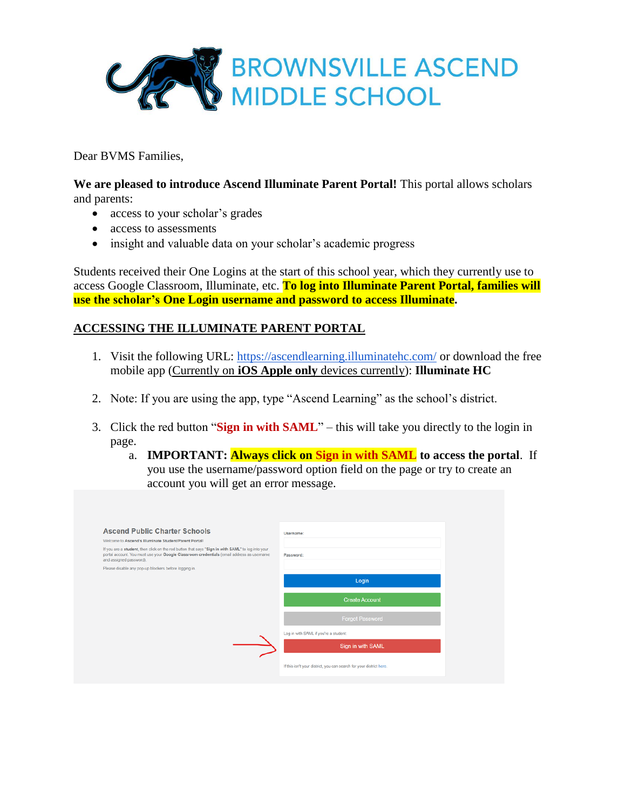

Dear BVMS Families,

**We are pleased to introduce Ascend Illuminate Parent Portal!** This portal allows scholars and parents:

- access to your scholar's grades
- access to assessments
- insight and valuable data on your scholar's academic progress

Students received their One Logins at the start of this school year, which they currently use to access Google Classroom, Illuminate, etc. **To log into Illuminate Parent Portal, families will use the scholar's One Login username and password to access Illuminate.**

# **ACCESSING THE ILLUMINATE PARENT PORTAL**

- 1. Visit the following URL:<https://ascendlearning.illuminatehc.com/> or download the free mobile app (Currently on **iOS Apple only** devices currently): **Illuminate HC**
- 2. Note: If you are using the app, type "Ascend Learning" as the school's district.
- 3. Click the red button "**Sign in with SAML**" this will take you directly to the login in page.
	- a. **IMPORTANT: Always click on Sign in with SAML to access the portal**. If you use the username/password option field on the page or try to create an account you will get an error message.

| <b>Ascend Public Charter Schools</b><br>Welcome to Ascend's Illuminate Student/Parent Portall                                                                                                                             | Username:                                                           |
|---------------------------------------------------------------------------------------------------------------------------------------------------------------------------------------------------------------------------|---------------------------------------------------------------------|
| If you are a student, then click on the red button that says "Sign in with SAML" to log into your<br>portal account. You must use your Google Classroom credentials (email address as username<br>and assigned password). | Password:                                                           |
| Please disable any pop-up blockers before logging in.                                                                                                                                                                     |                                                                     |
|                                                                                                                                                                                                                           | Login                                                               |
|                                                                                                                                                                                                                           | <b>Create Account</b>                                               |
|                                                                                                                                                                                                                           | <b>Forgot Password</b>                                              |
|                                                                                                                                                                                                                           | Log in with SAML if you're a student:                               |
|                                                                                                                                                                                                                           | Sign in with SAML                                                   |
|                                                                                                                                                                                                                           | If this isn't your district, you can search for your district here. |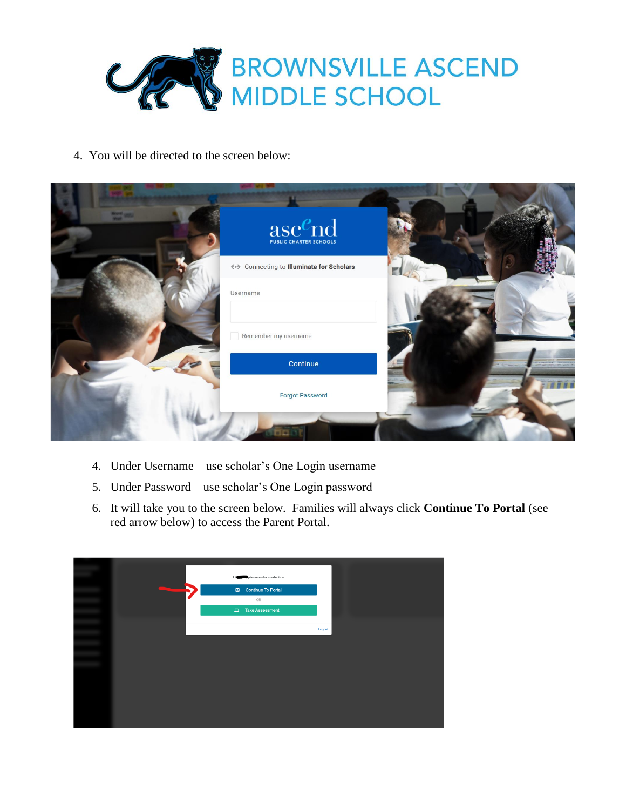

4. You will be directed to the screen below:

| <b>Martin 1985</b> | $\operatorname{asc}_{\scriptscriptstyle{\text{PUBLIC CHARTER SCHOOLS}}}^{\pmb{e}_{\text{PUBLIC}}^{\text{PGLC}}}$ |  |
|--------------------|------------------------------------------------------------------------------------------------------------------|--|
|                    | <-> Connecting to Illuminate for Scholars                                                                        |  |
|                    | Username                                                                                                         |  |
|                    | Remember my username                                                                                             |  |
|                    | Continue                                                                                                         |  |
|                    | <b>Forgot Password</b>                                                                                           |  |
|                    |                                                                                                                  |  |

- 4. Under Username use scholar's One Login username
- 5. Under Password use scholar's One Login password
- 6. It will take you to the screen below. Families will always click **Continue To Portal** (see red arrow below) to access the Parent Portal.

|              | Hi | please make a selection |        |
|--------------|----|-------------------------|--------|
| <b>Alley</b> |    | Continue To Portal      |        |
|              |    | OR                      |        |
|              |    | Take Assessment         |        |
|              |    |                         | Logout |
|              |    |                         |        |
|              |    |                         |        |
|              |    |                         |        |
|              |    |                         |        |
|              |    |                         |        |
|              |    |                         |        |
|              |    |                         |        |
|              |    |                         |        |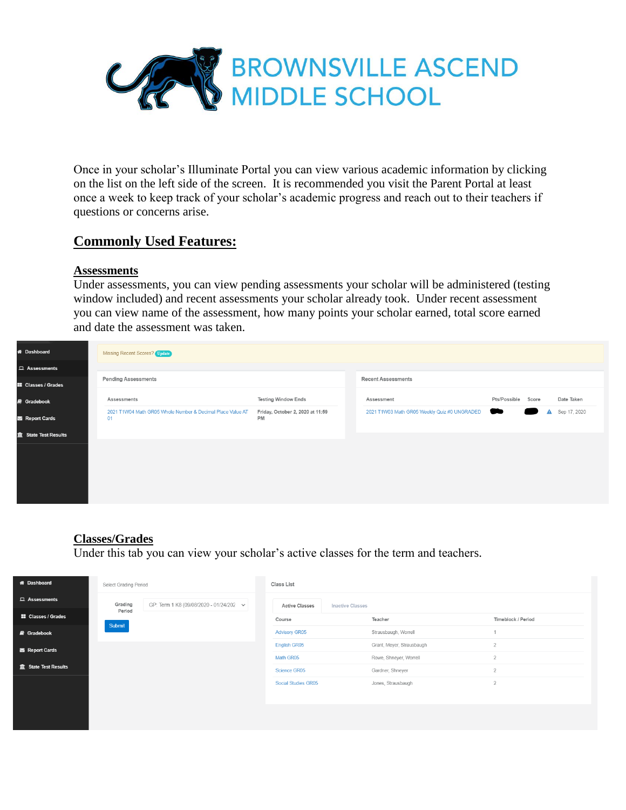

Once in your scholar's Illuminate Portal you can view various academic information by clicking on the list on the left side of the screen. It is recommended you visit the Parent Portal at least once a week to keep track of your scholar's academic progress and reach out to their teachers if questions or concerns arise.

# **Commonly Used Features:**

#### **Assessments**

Under assessments, you can view pending assessments your scholar will be administered (testing window included) and recent assessments your scholar already took. Under recent assessment you can view name of the assessment, how many points your scholar earned, total score earned and date the assessment was taken.



### **Classes/Grades**

Under this tab you can view your scholar's active classes for the term and teachers.

| <b>W</b> Dashboard         | Select Grading Period                                   |  | Class List            |                           |                    |  |  |  |  |  |
|----------------------------|---------------------------------------------------------|--|-----------------------|---------------------------|--------------------|--|--|--|--|--|
| $\Box$ Assessments         | Grading<br>GP: Term 1 K8 (09/08/2020 - 01/24/202 $\sim$ |  | <b>Active Classes</b> | <b>Inactive Classes</b>   |                    |  |  |  |  |  |
| <b>II</b> Classes / Grades | Period<br>Submit                                        |  | Course                | Teacher                   | Timeblock / Period |  |  |  |  |  |
| <b>B</b> Gradebook         |                                                         |  | <b>Advisory GR05</b>  | Strausbaugh, Worrell      |                    |  |  |  |  |  |
| Report Cards               |                                                         |  | English GR05          | Grant, Meyer, Strausbaugh | $\overline{2}$     |  |  |  |  |  |
|                            |                                                         |  | Math GR05             | Rowe, Shneyer, Worrell    | $\overline{2}$     |  |  |  |  |  |
| the State Test Results     |                                                         |  | Science GR05          | Gardner, Shneyer          | $\overline{2}$     |  |  |  |  |  |
|                            |                                                         |  | Social Studies GR05   | Jones, Strausbaugh        | $\overline{2}$     |  |  |  |  |  |
|                            |                                                         |  |                       |                           |                    |  |  |  |  |  |
|                            |                                                         |  |                       |                           |                    |  |  |  |  |  |
|                            |                                                         |  |                       |                           |                    |  |  |  |  |  |